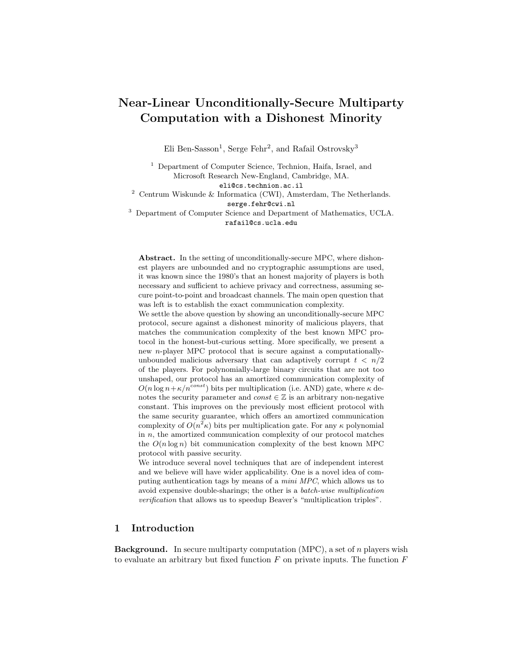# Near-Linear Unconditionally-Secure Multiparty Computation with a Dishonest Minority

Eli Ben-Sasson<sup>1</sup>, Serge Fehr<sup>2</sup>, and Rafail Ostrovsky<sup>3</sup>

<sup>1</sup> Department of Computer Science, Technion, Haifa, Israel, and Microsoft Research New-England, Cambridge, MA. eli@cs.technion.ac.il

 $^2$  Centrum Wiskunde & Informatica (CWI), Amsterdam, The Netherlands. serge.fehr@cwi.nl

<sup>3</sup> Department of Computer Science and Department of Mathematics, UCLA. rafail@cs.ucla.edu

Abstract. In the setting of unconditionally-secure MPC, where dishonest players are unbounded and no cryptographic assumptions are used, it was known since the 1980's that an honest majority of players is both necessary and sufficient to achieve privacy and correctness, assuming secure point-to-point and broadcast channels. The main open question that was left is to establish the exact communication complexity.

We settle the above question by showing an unconditionally-secure MPC protocol, secure against a dishonest minority of malicious players, that matches the communication complexity of the best known MPC protocol in the honest-but-curious setting. More specifically, we present a new *n*-player MPC protocol that is secure against a computationallyunbounded malicious adversary that can adaptively corrupt  $t < n/2$ of the players. For polynomially-large binary circuits that are not too unshaped, our protocol has an amortized communication complexity of  $O(n \log n + \kappa/n^{const})$  bits per multiplication (i.e. AND) gate, where  $\kappa$  denotes the security parameter and  $const \in \mathbb{Z}$  is an arbitrary non-negative constant. This improves on the previously most efficient protocol with the same security guarantee, which offers an amortized communication complexity of  $O(n^2 \kappa)$  bits per multiplication gate. For any  $\kappa$  polynomial in  $n$ , the amortized communication complexity of our protocol matches the  $O(n \log n)$  bit communication complexity of the best known MPC protocol with passive security.

We introduce several novel techniques that are of independent interest and we believe will have wider applicability. One is a novel idea of computing authentication tags by means of a mini MPC, which allows us to avoid expensive double-sharings; the other is a batch-wise multiplication verification that allows us to speedup Beaver's "multiplication triples".

## 1 Introduction

**Background.** In secure multiparty computation  $(MPC)$ , a set of *n* players wish to evaluate an arbitrary but fixed function  $F$  on private inputs. The function  $F$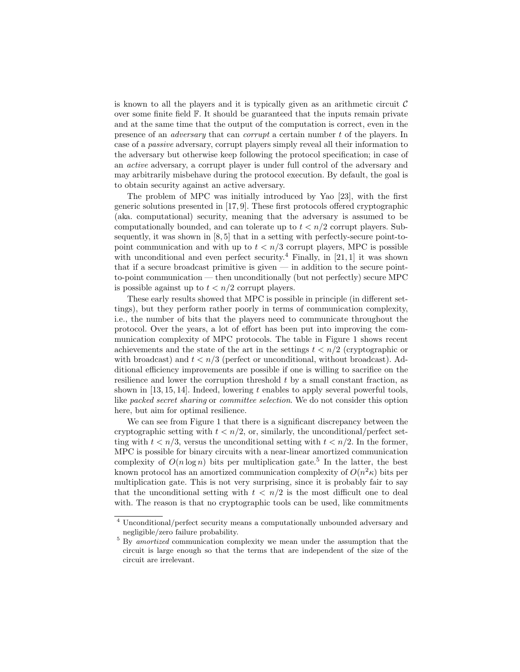is known to all the players and it is typically given as an arithmetic circuit  $\mathcal C$ over some finite field F. It should be guaranteed that the inputs remain private and at the same time that the output of the computation is correct, even in the presence of an adversary that can corrupt a certain number t of the players. In case of a passive adversary, corrupt players simply reveal all their information to the adversary but otherwise keep following the protocol specification; in case of an active adversary, a corrupt player is under full control of the adversary and may arbitrarily misbehave during the protocol execution. By default, the goal is to obtain security against an active adversary.

The problem of MPC was initially introduced by Yao [23], with the first generic solutions presented in [17, 9]. These first protocols offered cryptographic (aka. computational) security, meaning that the adversary is assumed to be computationally bounded, and can tolerate up to  $t < n/2$  corrupt players. Subsequently, it was shown in [8, 5] that in a setting with perfectly-secure point-topoint communication and with up to  $t < n/3$  corrupt players, MPC is possible with unconditional and even perfect security.<sup>4</sup> Finally, in [21, 1] it was shown that if a secure broadcast primitive is given  $-$  in addition to the secure pointto-point communication — then unconditionally (but not perfectly) secure MPC is possible against up to  $t < n/2$  corrupt players.

These early results showed that MPC is possible in principle (in different settings), but they perform rather poorly in terms of communication complexity, i.e., the number of bits that the players need to communicate throughout the protocol. Over the years, a lot of effort has been put into improving the communication complexity of MPC protocols. The table in Figure 1 shows recent achievements and the state of the art in the settings  $t < n/2$  (cryptographic or with broadcast) and  $t < n/3$  (perfect or unconditional, without broadcast). Additional efficiency improvements are possible if one is willing to sacrifice on the resilience and lower the corruption threshold t by a small constant fraction, as shown in [13, 15, 14]. Indeed, lowering t enables to apply several powerful tools, like packed secret sharing or committee selection. We do not consider this option here, but aim for optimal resilience.

We can see from Figure 1 that there is a significant discrepancy between the cryptographic setting with  $t < n/2$ , or, similarly, the unconditional/perfect setting with  $t < n/3$ , versus the unconditional setting with  $t < n/2$ . In the former, MPC is possible for binary circuits with a near-linear amortized communication complexity of  $O(n \log n)$  bits per multiplication gate.<sup>5</sup> In the latter, the best known protocol has an amortized communication complexity of  $O(n^2\kappa)$  bits per multiplication gate. This is not very surprising, since it is probably fair to say that the unconditional setting with  $t < n/2$  is the most difficult one to deal with. The reason is that no cryptographic tools can be used, like commitments

<sup>4</sup> Unconditional/perfect security means a computationally unbounded adversary and negligible/zero failure probability.

<sup>&</sup>lt;sup>5</sup> By amortized communication complexity we mean under the assumption that the circuit is large enough so that the terms that are independent of the size of the circuit are irrelevant.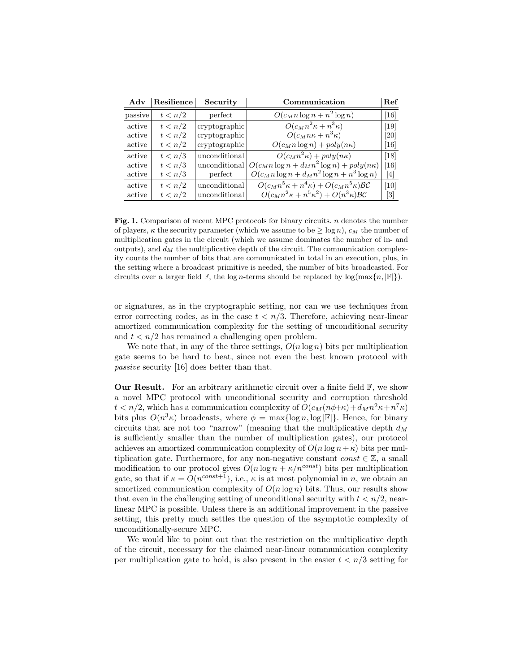| Adv     | Resilience | Security      | Communication                                                     | Ref                                                                                                                                                                                                                         |
|---------|------------|---------------|-------------------------------------------------------------------|-----------------------------------------------------------------------------------------------------------------------------------------------------------------------------------------------------------------------------|
| passive | t < n/2    | perfect       | $O(c_M n \log n + n^2 \log n)$                                    | $[16]$                                                                                                                                                                                                                      |
| active  | t < n/2    | cryptographic | $O(c_M n^2 \kappa + n^3 \kappa)$                                  | $\left[19\right]$                                                                                                                                                                                                           |
| active  | t < n/2    | cryptographic | $O(c_M n \kappa + n^3 \kappa)$                                    | [20]                                                                                                                                                                                                                        |
| active  | t < n/2    | cryptographic | $O(c_M n \log n) + poly(n\kappa)$                                 | $[16]$                                                                                                                                                                                                                      |
| active  | t < n/3    | unconditional | $O(c_M n^2 \kappa) + poly(n \kappa)$                              | $\left[18\right]$                                                                                                                                                                                                           |
| active  | t < n/3    | unconditional | $O(c_M n \log n + d_M n^2 \log n) + poly(n\kappa)$                | [16]                                                                                                                                                                                                                        |
| active  | t < n/3    | perfect       | $O(c_M n \log n + d_M n^2 \log n + n^3 \log n)$                   | $\vert 4 \vert$                                                                                                                                                                                                             |
| active  | t < n/2    | unconditional | $O(c_M n^5 \kappa + n^4 \kappa) + O(c_M n^5 \kappa) \mathcal{BC}$ | $\left[10\right]$                                                                                                                                                                                                           |
| active  | t < n/2    | unconditional | $O(c_M n^2 \kappa + n^5 \kappa^2) + O(n^3 \kappa) \mathcal{BC}$   | $[3] % \includegraphics[width=1\textwidth]{images/TrDiM-Architecture.png} \caption{The image shows the image shows a single image with a single image. The image shows a single image shows a single image.} \label{TrDiS}$ |

Fig. 1. Comparison of recent MPC protocols for binary circuits. n denotes the number of players,  $\kappa$  the security parameter (which we assume to be  $\geq \log n$ ),  $c_M$  the number of multiplication gates in the circuit (which we assume dominates the number of in- and outputs), and  $d_M$  the multiplicative depth of the circuit. The communication complexity counts the number of bits that are communicated in total in an execution, plus, in the setting where a broadcast primitive is needed, the number of bits broadcasted. For circuits over a larger field  $\mathbb{F}$ , the log n-terms should be replaced by log(max{n,  $\mathbb{F}$ }).

or signatures, as in the cryptographic setting, nor can we use techniques from error correcting codes, as in the case  $t < n/3$ . Therefore, achieving near-linear amortized communication complexity for the setting of unconditional security and  $t < n/2$  has remained a challenging open problem.

We note that, in any of the three settings,  $O(n \log n)$  bits per multiplication gate seems to be hard to beat, since not even the best known protocol with passive security [16] does better than that.

**Our Result.** For an arbitrary arithmetic circuit over a finite field  $\mathbb{F}$ , we show a novel MPC protocol with unconditional security and corruption threshold  $t < n/2$ , which has a communication complexity of  $O(c_M(n\phi + \kappa) + d_M n^2 \kappa + n^7 \kappa)$ bits plus  $O(n^3 \kappa)$  broadcasts, where  $\phi = \max\{\log n, \log |\mathbb{F}|\}.$  Hence, for binary circuits that are not too "narrow" (meaning that the multiplicative depth  $d_M$ is sufficiently smaller than the number of multiplication gates), our protocol achieves an amortized communication complexity of  $O(n \log n + \kappa)$  bits per multiplication gate. Furthermore, for any non-negative constant  $const \in \mathbb{Z}$ , a small modification to our protocol gives  $O(n \log n + \kappa/n^{const})$  bits per multiplication gate, so that if  $\kappa = O(n^{const+1})$ , i.e.,  $\kappa$  is at most polynomial in n, we obtain an amortized communication complexity of  $O(n \log n)$  bits. Thus, our results show that even in the challenging setting of unconditional security with  $t < n/2$ , nearlinear MPC is possible. Unless there is an additional improvement in the passive setting, this pretty much settles the question of the asymptotic complexity of unconditionally-secure MPC.

We would like to point out that the restriction on the multiplicative depth of the circuit, necessary for the claimed near-linear communication complexity per multiplication gate to hold, is also present in the easier  $t < n/3$  setting for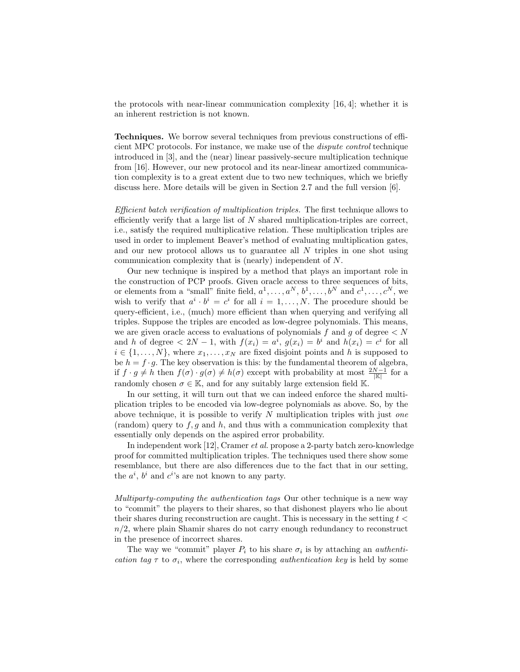the protocols with near-linear communication complexity [16, 4]; whether it is an inherent restriction is not known.

Techniques. We borrow several techniques from previous constructions of efficient MPC protocols. For instance, we make use of the dispute control technique introduced in [3], and the (near) linear passively-secure multiplication technique from [16]. However, our new protocol and its near-linear amortized communication complexity is to a great extent due to two new techniques, which we briefly discuss here. More details will be given in Section 2.7 and the full version [6].

Efficient batch verification of multiplication triples. The first technique allows to efficiently verify that a large list of  $N$  shared multiplication-triples are correct, i.e., satisfy the required multiplicative relation. These multiplication triples are used in order to implement Beaver's method of evaluating multiplication gates, and our new protocol allows us to guarantee all N triples in one shot using communication complexity that is (nearly) independent of N.

Our new technique is inspired by a method that plays an important role in the construction of PCP proofs. Given oracle access to three sequences of bits, or elements from a "small" finite field,  $a^1, \ldots, a^N, b^1, \ldots, b^N$  and  $c^1, \ldots, c^N$ , we wish to verify that  $a^i \cdot b^i = c^i$  for all  $i = 1, ..., N$ . The procedure should be query-efficient, i.e., (much) more efficient than when querying and verifying all triples. Suppose the triples are encoded as low-degree polynomials. This means, we are given oracle access to evaluations of polynomials f and g of degree  $\langle N \rangle$ and h of degree  $\langle 2N-1$ , with  $f(x_i) = a^i$ ,  $g(x_i) = b^i$  and  $h(x_i) = c^i$  for all  $i \in \{1, \ldots, N\}$ , where  $x_1, \ldots, x_N$  are fixed disjoint points and h is supposed to be  $h = f \cdot g$ . The key observation is this: by the fundamental theorem of algebra, if  $f \cdot g \neq h$  then  $f(\sigma) \cdot g(\sigma) \neq h(\sigma)$  except with probability at most  $\frac{2N-1}{|\mathbb{K}|}$  for a randomly chosen  $\sigma \in \mathbb{K}$ , and for any suitably large extension field K.

In our setting, it will turn out that we can indeed enforce the shared multiplication triples to be encoded via low-degree polynomials as above. So, by the above technique, it is possible to verify  $N$  multiplication triples with just one (random) query to  $f, g$  and  $h$ , and thus with a communication complexity that essentially only depends on the aspired error probability.

In independent work [12], Cramer et al. propose a 2-party batch zero-knowledge proof for committed multiplication triples. The techniques used there show some resemblance, but there are also differences due to the fact that in our setting, the  $a^i$ ,  $b^i$  and  $c^i$ 's are not known to any party.

Multiparty-computing the authentication tags Our other technique is a new way to "commit" the players to their shares, so that dishonest players who lie about their shares during reconstruction are caught. This is necessary in the setting  $t <$  $n/2$ , where plain Shamir shares do not carry enough redundancy to reconstruct in the presence of incorrect shares.

The way we "commit" player  $P_i$  to his share  $\sigma_i$  is by attaching an *authenti*cation tag  $\tau$  to  $\sigma_i$ , where the corresponding *authentication key* is held by some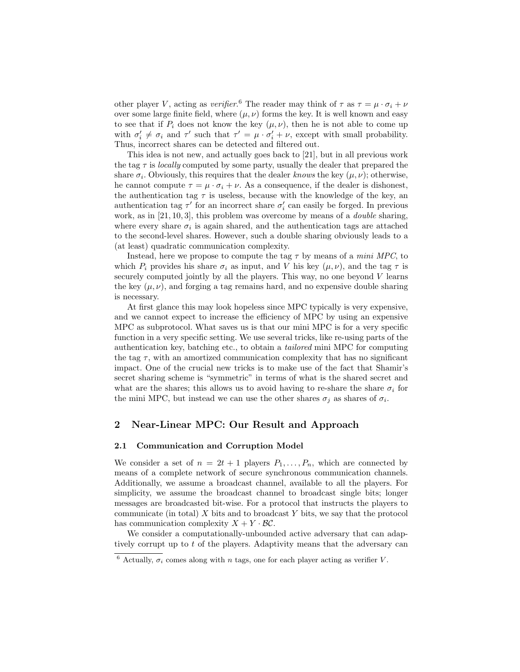other player V, acting as *verifier*.<sup>6</sup> The reader may think of  $\tau$  as  $\tau = \mu \cdot \sigma_i + \nu$ over some large finite field, where  $(\mu, \nu)$  forms the key. It is well known and easy to see that if  $P_i$  does not know the key  $(\mu, \nu)$ , then he is not able to come up with  $\sigma'_i \neq \sigma_i$  and  $\tau'$  such that  $\tau' = \mu \cdot \sigma'_i + \nu$ , except with small probability. Thus, incorrect shares can be detected and filtered out.

This idea is not new, and actually goes back to [21], but in all previous work the tag  $\tau$  is *locally* computed by some party, usually the dealer that prepared the share  $\sigma_i$ . Obviously, this requires that the dealer knows the key  $(\mu, \nu)$ ; otherwise, he cannot compute  $\tau = \mu \cdot \sigma_i + \nu$ . As a consequence, if the dealer is dishonest, the authentication tag  $\tau$  is useless, because with the knowledge of the key, an authentication tag  $\tau'$  for an incorrect share  $\sigma'_i$  can easily be forged. In previous work, as in [21, 10, 3], this problem was overcome by means of a *double* sharing, where every share  $\sigma_i$  is again shared, and the authentication tags are attached to the second-level shares. However, such a double sharing obviously leads to a (at least) quadratic communication complexity.

Instead, here we propose to compute the tag  $\tau$  by means of a *mini MPC*, to which  $P_i$  provides his share  $\sigma_i$  as input, and V his key  $(\mu, \nu)$ , and the tag  $\tau$  is securely computed jointly by all the players. This way, no one beyond  $V$  learns the key  $(\mu, \nu)$ , and forging a tag remains hard, and no expensive double sharing is necessary.

At first glance this may look hopeless since MPC typically is very expensive, and we cannot expect to increase the efficiency of MPC by using an expensive MPC as subprotocol. What saves us is that our mini MPC is for a very specific function in a very specific setting. We use several tricks, like re-using parts of the authentication key, batching etc., to obtain a tailored mini MPC for computing the tag  $\tau$ , with an amortized communication complexity that has no significant impact. One of the crucial new tricks is to make use of the fact that Shamir's secret sharing scheme is "symmetric" in terms of what is the shared secret and what are the shares; this allows us to avoid having to re-share the share  $\sigma_i$  for the mini MPC, but instead we can use the other shares  $\sigma_j$  as shares of  $\sigma_i$ .

# 2 Near-Linear MPC: Our Result and Approach

#### 2.1 Communication and Corruption Model

We consider a set of  $n = 2t + 1$  players  $P_1, \ldots, P_n$ , which are connected by means of a complete network of secure synchronous communication channels. Additionally, we assume a broadcast channel, available to all the players. For simplicity, we assume the broadcast channel to broadcast single bits; longer messages are broadcasted bit-wise. For a protocol that instructs the players to communicate (in total)  $X$  bits and to broadcast  $Y$  bits, we say that the protocol has communication complexity  $X + Y \cdot BC$ .

We consider a computationally-unbounded active adversary that can adaptively corrupt up to t of the players. Adaptivity means that the adversary can

<sup>&</sup>lt;sup>6</sup> Actually,  $\sigma_i$  comes along with *n* tags, one for each player acting as verifier *V*.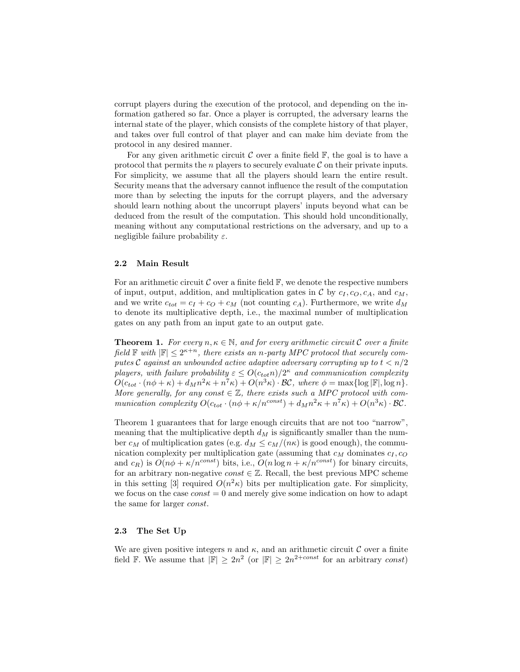corrupt players during the execution of the protocol, and depending on the information gathered so far. Once a player is corrupted, the adversary learns the internal state of the player, which consists of the complete history of that player, and takes over full control of that player and can make him deviate from the protocol in any desired manner.

For any given arithmetic circuit  $\mathcal C$  over a finite field  $\mathbb F$ , the goal is to have a protocol that permits the *n* players to securely evaluate  $\mathcal C$  on their private inputs. For simplicity, we assume that all the players should learn the entire result. Security means that the adversary cannot influence the result of the computation more than by selecting the inputs for the corrupt players, and the adversary should learn nothing about the uncorrupt players' inputs beyond what can be deduced from the result of the computation. This should hold unconditionally, meaning without any computational restrictions on the adversary, and up to a negligible failure probability  $\varepsilon$ .

#### 2.2 Main Result

For an arithmetic circuit  $\mathcal C$  over a finite field  $\mathbb F$ , we denote the respective numbers of input, output, addition, and multiplication gates in  $\mathcal C$  by  $c_I, c_O, c_A$ , and  $c_M$ , and we write  $c_{tot} = c_I + c_O + c_M$  (not counting  $c_A$ ). Furthermore, we write  $d_M$ to denote its multiplicative depth, i.e., the maximal number of multiplication gates on any path from an input gate to an output gate.

**Theorem 1.** For every  $n, \kappa \in \mathbb{N}$ , and for every arithmetic circuit C over a finite field  $\mathbb F$  with  $|\mathbb F|\leq 2^{\kappa+n}$ , there exists an n-party MPC protocol that securely computes C against an unbounded active adaptive adversary corrupting up to  $t < n/2$ players, with failure probability  $\varepsilon \leq O(c_{tot}n)/2^{\kappa}$  and communication complexity  $O(c_{tot} \cdot (n\phi + \kappa) + d_M n^2 \kappa + n^7 \kappa) + O(n^3 \kappa) \cdot \mathcal{BC}$ , where  $\phi = \max\{\log |\mathbb{F}|, \log n\}.$ More generally, for any const  $\in \mathbb{Z}$ , there exists such a MPC protocol with communication complexity  $O(c_{tot} \cdot (n\phi + \kappa/n^{const}) + d_M n^2 \kappa + n^7 \kappa) + O(n^3 \kappa) \cdot \mathcal{BC}$ .

Theorem 1 guarantees that for large enough circuits that are not too "narrow", meaning that the multiplicative depth  $d_M$  is significantly smaller than the number  $c_M$  of multiplication gates (e.g.  $d_M \leq c_M/(n\kappa)$  is good enough), the communication complexity per multiplication gate (assuming that  $c_M$  dominates  $c_I, c_O$ and  $c_R$ ) is  $O(n\phi + \kappa/n^{const})$  bits, i.e.,  $O(n \log n + \kappa/n^{const})$  for binary circuits, for an arbitrary non-negative const  $\in \mathbb{Z}$ . Recall, the best previous MPC scheme in this setting [3] required  $O(n^2\kappa)$  bits per multiplication gate. For simplicity, we focus on the case  $const = 0$  and merely give some indication on how to adapt the same for larger const.

#### 2.3 The Set Up

We are given positive integers n and  $\kappa$ , and an arithmetic circuit C over a finite field F. We assume that  $|\mathbb{F}| \geq 2n^2$  (or  $|\mathbb{F}| \geq 2n^{2+const}$  for an arbitrary const)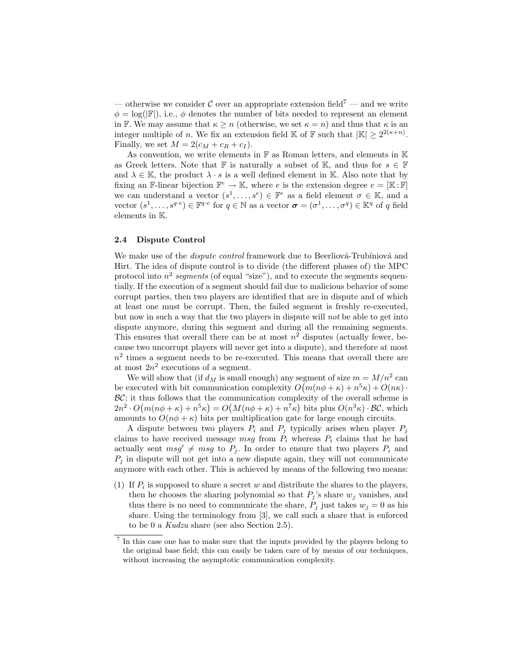— otherwise we consider C over an appropriate extension field<sup>7</sup> — and we write  $\phi = \log(|\mathbb{F}|)$ , i.e.,  $\phi$  denotes the number of bits needed to represent an element in F. We may assume that  $\kappa \geq n$  (otherwise, we set  $\kappa = n$ ) and thus that  $\kappa$  is an integer multiple of *n*. We fix an extension field K of F such that  $|\mathbb{K}| \geq 2^{2(\kappa+n)}$ . Finally, we set  $M = 2(c_M + c_R + c_I)$ .

As convention, we write elements in  $\mathbb F$  as Roman letters, and elements in  $\mathbb K$ as Greek letters. Note that F is naturally a subset of K, and thus for  $s \in \mathbb{F}$ and  $\lambda \in \mathbb{K}$ , the product  $\lambda \cdot s$  is a well defined element in K. Also note that by fixing an F-linear bijection  $\mathbb{F}^e \to \mathbb{K}$ , where e is the extension degree  $e = [\mathbb{K} : \mathbb{F}]$ we can understand a vector  $(s^1, \ldots, s^e) \in \mathbb{F}^e$  as a field element  $\sigma \in \mathbb{K}$ , and a vector  $(s^1, \ldots, s^{q \cdot e}) \in \mathbb{F}^{q \cdot e}$  for  $q \in \mathbb{N}$  as a vector  $\boldsymbol{\sigma} = (\sigma^1, \ldots, \sigma^q) \in \mathbb{K}^q$  of q field elements in K.

#### 2.4 Dispute Control

We make use of the *dispute control* framework due to Beerliová-Trubíniová and Hirt. The idea of dispute control is to divide (the different phases of) the MPC protocol into  $n^2$  segments (of equal "size"), and to execute the segments sequentially. If the execution of a segment should fail due to malicious behavior of some corrupt parties, then two players are identified that are in dispute and of which at least one must be corrupt. Then, the failed segment is freshly re-executed, but now in such a way that the two players in dispute will not be able to get into dispute anymore, during this segment and during all the remaining segments. This ensures that overall there can be at most  $n^2$  disputes (actually fewer, because two uncorrupt players will never get into a dispute), and therefore at most  $n<sup>2</sup>$  times a segment needs to be re-executed. This means that overall there are at most  $2n^2$  executions of a segment.

We will show that (if  $d_M$  is small enough) any segment of size  $m = M/n^2$  can be executed with bit communication complexity  $O(m(n\phi + \kappa) + n^5\kappa) + O(n\kappa)$ .  $BC$ ; it thus follows that the communication complexity of the overall scheme is  $2n^2 \cdot O(m(n\phi + \kappa) + n^5 \kappa) = O(M(n\phi + \kappa) + n^7 \kappa)$  bits plus  $O(n^3 \kappa) \cdot \mathcal{BC}$ , which amounts to  $O(n\phi + \kappa)$  bits per multiplication gate for large enough circuits.

A dispute between two players  $P_i$  and  $P_j$  typically arises when player  $P_j$ claims to have received message msg from  $P_i$  whereas  $P_i$  claims that he had actually sent  $msg' \neq msg$  to  $P_i$ . In order to ensure that two players  $P_i$  and  $P_i$  in dispute will not get into a new dispute again, they will not communicate anymore with each other. This is achieved by means of the following two means:

(1) If  $P_i$  is supposed to share a secret w and distribute the shares to the players, then he chooses the sharing polynomial so that  $P_i$ 's share  $w_i$  vanishes, and thus there is no need to communicate the share,  $P_j$  just takes  $w_j = 0$  as his share. Using the terminology from [3], we call such a share that is enforced to be 0 a Kudzu share (see also Section 2.5).

<sup>&</sup>lt;sup>7</sup> In this case one has to make sure that the inputs provided by the players belong to the original base field; this can easily be taken care of by means of our techniques, without increasing the asymptotic communication complexity.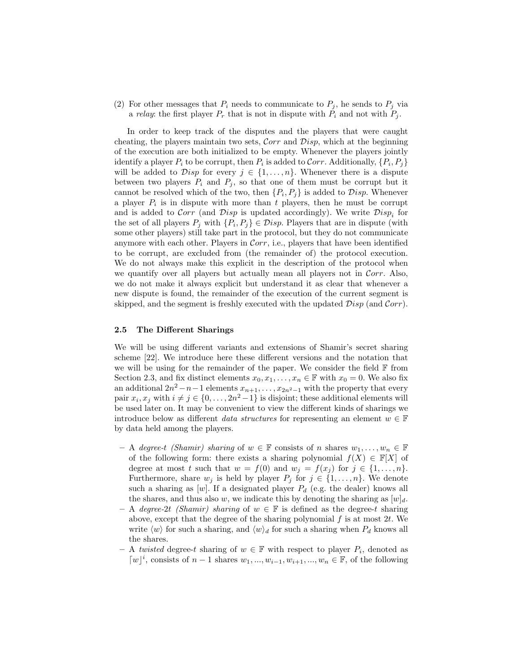(2) For other messages that  $P_i$  needs to communicate to  $P_j$ , he sends to  $P_j$  via a *relay*: the first player  $P_r$  that is not in dispute with  $P_i$  and not with  $P_j$ .

In order to keep track of the disputes and the players that were caught cheating, the players maintain two sets, Corr and  $Disp$ , which at the beginning of the execution are both initialized to be empty. Whenever the players jointly identify a player  $P_i$  to be corrupt, then  $P_i$  is added to Corr. Additionally,  $\{P_i, P_j\}$ will be added to  $\mathcal{D}isp$  for every  $j \in \{1, \ldots, n\}$ . Whenever there is a dispute between two players  $P_i$  and  $P_j$ , so that one of them must be corrupt but it cannot be resolved which of the two, then  $\{P_i, P_j\}$  is added to  $Disp$ . Whenever a player  $P_i$  is in dispute with more than t players, then he must be corrupt and is added to Corr (and Disp is updated accordingly). We write  $Disp_i$  for the set of all players  $P_j$  with  $\{P_i, P_j\} \in \mathcal{D}$ *isp.* Players that are in dispute (with some other players) still take part in the protocol, but they do not communicate anymore with each other. Players in Corr, i.e., players that have been identified to be corrupt, are excluded from (the remainder of) the protocol execution. We do not always make this explicit in the description of the protocol when we quantify over all players but actually mean all players not in  $Corr$ . Also, we do not make it always explicit but understand it as clear that whenever a new dispute is found, the remainder of the execution of the current segment is skipped, and the segment is freshly executed with the updated  $Disp$  (and  $Corr$ ).

#### 2.5 The Different Sharings

We will be using different variants and extensions of Shamir's secret sharing scheme [22]. We introduce here these different versions and the notation that we will be using for the remainder of the paper. We consider the field  $F$  from Section 2.3, and fix distinct elements  $x_0, x_1, \ldots, x_n \in \mathbb{F}$  with  $x_0 = 0$ . We also fix an additional  $2n^2 - n - 1$  elements  $x_{n+1}, \ldots, x_{2n^2-1}$  with the property that every pair  $x_i, x_j$  with  $i \neq j \in \{0, \ldots, 2n^2-1\}$  is disjoint; these additional elements will be used later on. It may be convenient to view the different kinds of sharings we introduce below as different *data structures* for representing an element  $w \in \mathbb{F}$ by data held among the players.

- A degree-t (Shamir) sharing of w ∈  $\mathbb F$  consists of n shares  $w_1, \ldots, w_n \in \mathbb F$ of the following form: there exists a sharing polynomial  $f(X) \in \mathbb{F}[X]$  of degree at most t such that  $w = f(0)$  and  $w_j = f(x_j)$  for  $j \in \{1, ..., n\}$ . Furthermore, share  $w_j$  is held by player  $P_j$  for  $j \in \{1, \ldots, n\}$ . We denote such a sharing as [w]. If a designated player  $P_d$  (e.g. the dealer) knows all the shares, and thus also w, we indicate this by denoting the sharing as  $[w]_d$ .
- A degree-2t (Shamir) sharing of  $w \in \mathbb{F}$  is defined as the degree-t sharing above, except that the degree of the sharing polynomial  $f$  is at most  $2t$ . We write  $\langle w \rangle$  for such a sharing, and  $\langle w \rangle_d$  for such a sharing when  $P_d$  knows all the shares.
- A twisted degree-t sharing of  $w \in \mathbb{F}$  with respect to player  $P_i$ , denoted as [w]<sup>*i*</sup>, consists of *n* − 1 shares  $w_1, ..., w_{i-1}, w_{i+1}, ..., w_n \in \mathbb{F}$ , of the following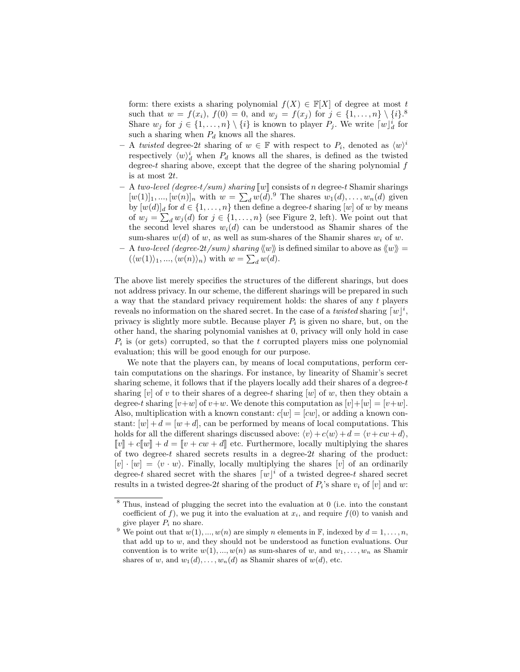form: there exists a sharing polynomial  $f(X) \in \mathbb{F}[X]$  of degree at most t such that  $w = f(x_i)$ ,  $f(0) = 0$ , and  $w_j = f(x_j)$  for  $j \in \{1, ..., n\} \setminus \{i\}$ . Share  $w_j$  for  $j \in \{1, ..., n\} \setminus \{i\}$  is known to player  $P_j$ . We write  $[w]_d^i$  for such a sharing when  $P_d$  knows all the shares.

- $-$  A twisted degree-2t sharing of  $w \in \mathbb{F}$  with respect to  $P_i$ , denoted as  $\langle w \rangle^i$ respectively  $\langle w \rangle_d^i$  when  $P_d$  knows all the shares, is defined as the twisted degree-t sharing above, except that the degree of the sharing polynomial  $f$ is at most 2t.
- A two-level (degree-t/sum) sharing  $\llbracket w \rrbracket$  consists of n degree-t Shamir sharings  $[w(1)]_1, ..., [w(n)]_n$  with  $w = \sum_d w(d)$ .<sup>9</sup> The shares  $w_1(d), ..., w_n(d)$  given by  $[w(d)]_d$  for  $d \in \{1, \ldots, n\}$  then define a degree-t sharing  $[w]$  of w by means of  $w_j = \sum_d w_j(d)$  for  $j \in \{1, ..., n\}$  (see Figure 2, left). We point out that the second level shares  $w_i(d)$  can be understood as Shamir shares of the sum-shares  $w(d)$  of w, as well as sum-shares of the Shamir shares  $w_i$  of w.
- A two-level (degree-2t/sum) sharing  $\langle w \rangle$  is defined similar to above as  $\langle w \rangle$  =  $(\langle w(1) \rangle_1, ..., \langle w(n) \rangle_n)$  with  $w = \sum_d w(d)$ .

The above list merely specifies the structures of the different sharings, but does not address privacy. In our scheme, the different sharings will be prepared in such a way that the standard privacy requirement holds: the shares of any t players reveals no information on the shared secret. In the case of a *twisted* sharing  $\lceil w \rceil^i$ , privacy is slightly more subtle. Because player  $P_i$  is given no share, but, on the other hand, the sharing polynomial vanishes at 0, privacy will only hold in case  $P_i$  is (or gets) corrupted, so that the t corrupted players miss one polynomial evaluation; this will be good enough for our purpose.

We note that the players can, by means of local computations, perform certain computations on the sharings. For instance, by linearity of Shamir's secret sharing scheme, it follows that if the players locally add their shares of a degree- $t$ sharing |v| of v to their shares of a degree-t sharing  $[w]$  of w, then they obtain a degree-t sharing  $[v+w]$  of  $v+w$ . We denote this computation as  $[v]+[w] = [v+w]$ . Also, multiplication with a known constant:  $c[w] = [cw]$ , or adding a known constant:  $[w] + d = [w + d]$ , can be performed by means of local computations. This holds for all the different sharings discussed above:  $\langle v \rangle + c \langle w \rangle + d = \langle v + cw + d \rangle$ ,  $\llbracket v \rrbracket + c\llbracket w \rrbracket + d = \llbracket v + cw + d \rrbracket$  etc. Furthermore, locally multiplying the shares of two degree-t shared secrets results in a degree- $2t$  sharing of the product:  $[v] \cdot [w] = \langle v \cdot w \rangle$ . Finally, locally multiplying the shares [v] of an ordinarily degree-t shared secret with the shares  $\lceil w \rceil^i$  of a twisted degree-t shared secret results in a twisted degree-2t sharing of the product of  $P_i$ 's share  $v_i$  of  $[v]$  and  $w$ :

<sup>8</sup> Thus, instead of plugging the secret into the evaluation at 0 (i.e. into the constant coefficient of f), we pug it into the evaluation at  $x_i$ , and require  $f(0)$  to vanish and give player  $P_i$  no share.

<sup>&</sup>lt;sup>9</sup> We point out that  $w(1), ..., w(n)$  are simply *n* elements in  $\mathbb{F}$ , indexed by  $d = 1, ..., n$ , that add up to  $w$ , and they should not be understood as function evaluations. Our convention is to write  $w(1), ..., w(n)$  as sum-shares of w, and  $w_1, ..., w_n$  as Shamir shares of w, and  $w_1(d), \ldots, w_n(d)$  as Shamir shares of  $w(d)$ , etc.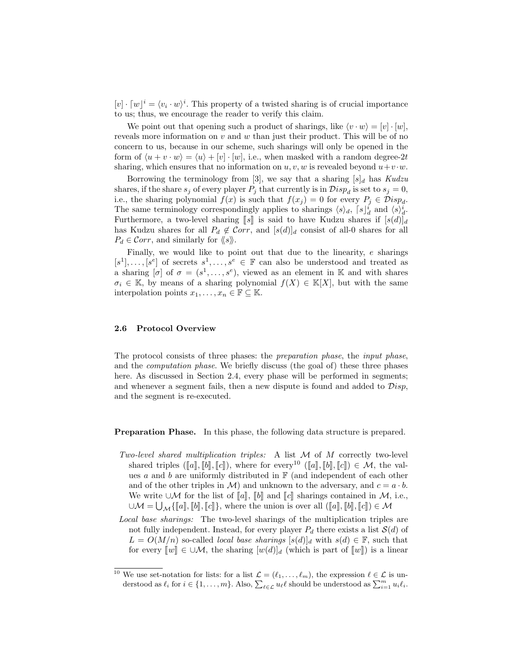$[v] \cdot [w]^i = \langle v_i \cdot w \rangle^i$ . This property of a twisted sharing is of crucial importance to us; thus, we encourage the reader to verify this claim.

We point out that opening such a product of sharings, like  $\langle v \cdot w \rangle = [v] \cdot [w],$ reveals more information on  $v$  and  $w$  than just their product. This will be of no concern to us, because in our scheme, such sharings will only be opened in the form of  $\langle u + v \cdot w \rangle = \langle u \rangle + [v] \cdot [w]$ , i.e., when masked with a random degree-2t sharing, which ensures that no information on  $u, v, w$  is revealed beyond  $u+v \cdot w$ .

Borrowing the terminology from [3], we say that a sharing  $[s]_d$  has Kudzu shares, if the share  $s_j$  of every player  $P_j$  that currently is in  $Disp_d$  is set to  $s_j = 0$ , i.e., the sharing polynomial  $f(x)$  is such that  $f(x_j) = 0$  for every  $P_j \in \mathcal{D}isp_d$ . The same terminology correspondingly applies to sharings  $\langle s \rangle_d$ ,  $\lceil s \rceil_d^i$  and  $\langle s \rangle_d^i$ . Furthermore, a two-level sharing  $\llbracket s \rrbracket$  is said to have Kudzu shares if  $[s(d)]_d$ has Kudzu shares for all  $P_d \notin \mathcal{C}orr$ , and  $[s(d)]_d$  consist of all-0 shares for all  $P_d \in \mathcal{C}orr$ , and similarly for  $\langle \hspace{-.08in} \langle s \rangle \hspace{-.08in} \rangle$ .

Finally, we would like to point out that due to the linearity, e sharings  $[s^1], \ldots, [s^e]$  of secrets  $s^1, \ldots, s^e \in \mathbb{F}$  can also be understood and treated as a sharing  $[\sigma]$  of  $\sigma = (s^1, \ldots, s^e)$ , viewed as an element in K and with shares  $\sigma_i \in \mathbb{K}$ , by means of a sharing polynomial  $f(X) \in \mathbb{K}[X]$ , but with the same interpolation points  $x_1, \ldots, x_n \in \mathbb{F} \subseteq \mathbb{K}$ .

#### 2.6 Protocol Overview

The protocol consists of three phases: the preparation phase, the input phase, and the computation phase. We briefly discuss (the goal of) these three phases here. As discussed in Section 2.4, every phase will be performed in segments; and whenever a segment fails, then a new dispute is found and added to  $Disp$ , and the segment is re-executed.

Preparation Phase. In this phase, the following data structure is prepared.

- Two-level shared multiplication triples: A list  $M$  of  $M$  correctly two-level shared triples ( $[[a], [b], [c]]$ ), where for every<sup>10</sup> ( $[[a], [b], [c]] \in \mathcal{M}$ , the values  $a$  and  $b$  are uniformly distributed in  $\mathbb{F}$  (and independent of each other and of the other triples in M) and unknown to the adversary, and  $c = a \cdot b$ . We write ∪ $M$  for the list of  $[[a]], [[b]]$  and  $[[c]]$  sharings contained in  $M$ , i.e.,  $\cup \mathcal{M} = \bigcup_{\mathcal{M}} \{ \llbracket a \rrbracket, \llbracket b \rrbracket, \llbracket c \rrbracket \},$  where the union is over all  $(\llbracket a \rrbracket, \llbracket b \rrbracket, \llbracket c \rrbracket) \in \mathcal{M}$
- Local base sharings: The two-level sharings of the multiplication triples are not fully independent. Instead, for every player  $P_d$  there exists a list  $\mathcal{S}(d)$  of  $L = O(M/n)$  so-called *local base sharings*  $[s(d)]_d$  with  $s(d) \in \mathbb{F}$ , such that for every  $\llbracket w \rrbracket \in \cup \mathcal{M}$ , the sharing  $[w(d)]_d$  (which is part of  $\llbracket w \rrbracket$ ) is a linear

<sup>&</sup>lt;sup>10</sup> We use set-notation for lists: for a list  $\mathcal{L} = (\ell_1, \ldots, \ell_m)$ , the expression  $\ell \in \mathcal{L}$  is understood as  $\ell_i$  for  $i \in \{1, \ldots, m\}$ . Also,  $\sum_{\ell \in \mathcal{L}} u_{\ell} \ell$  should be understood as  $\sum_{i=1}^m u_i \ell_i$ .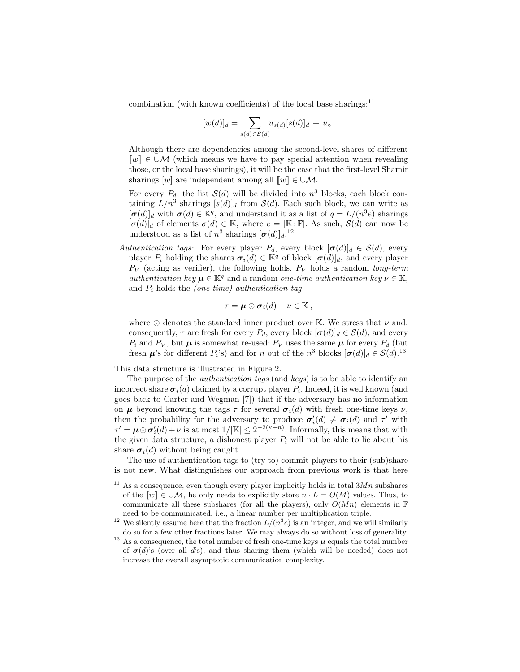combination (with known coefficients) of the local base sharings: $^{11}$ 

$$
[w(d)]_d = \sum_{s(d) \in S(d)} u_{s(d)}[s(d)]_d + u_{\circ}.
$$

Although there are dependencies among the second-level shares of different  $\llbracket w \rrbracket \in \cup \mathcal{M}$  (which means we have to pay special attention when revealing those, or the local base sharings), it will be the case that the first-level Shamir sharings  $[w]$  are independent among all  $\llbracket w \rrbracket \in \cup \mathcal{M}$ .

For every  $P_d$ , the list  $\mathcal{S}(d)$  will be divided into  $n^3$  blocks, each block containing  $L/n^3$  sharings  $[s(d)]_d$  from  $\mathcal{S}(d)$ . Each such block, we can write as  $[\sigma(d)]_d$  with  $\sigma(d) \in \mathbb{K}^q$ , and understand it as a list of  $q = L/(n^3 e)$  sharings  $[\sigma(d)]_d$  of elements  $\sigma(d) \in \mathbb{K}$ , where  $e = [\mathbb{K} : \mathbb{F}]$ . As such,  $\mathcal{S}(d)$  can now be understood as a list of  $n^3$  sharings  $[\sigma(d)]_d$ .<sup>12</sup>

Authentication tags: For every player  $P_d$ , every block  $[\sigma(d)]_d \in S(d)$ , every player  $P_i$  holding the shares  $\sigma_i(d) \in \mathbb{K}^q$  of block  $[\sigma(d)]_d$ , and every player  $P_V$  (acting as verifier), the following holds.  $P_V$  holds a random long-term authentication key  $\mu \in \mathbb{K}^q$  and a random one-time authentication key  $\nu \in \mathbb{K}$ , and  $P_i$  holds the *(one-time)* authentication tag

$$
\tau = \boldsymbol{\mu} \odot \boldsymbol{\sigma}_i(d) + \nu \in \mathbb{K},
$$

where  $\odot$  denotes the standard inner product over K. We stress that  $\nu$  and, consequently,  $\tau$  are fresh for every  $P_d$ , every block  $[\sigma(d)]_d \in \mathcal{S}(d)$ , and every  $P_i$  and  $P_V$ , but  $\mu$  is somewhat re-used:  $P_V$  uses the same  $\mu$  for every  $P_d$  (but fresh  $\mu$ 's for different  $P_i$ 's) and for n out of the  $n^3$  blocks  $[\sigma(d)]_d \in S(d).$ <sup>13</sup>

This data structure is illustrated in Figure 2.

The purpose of the authentication tags (and keys) is to be able to identify an incorrect share  $\sigma_i(d)$  claimed by a corrupt player  $P_i$ . Indeed, it is well known (and goes back to Carter and Wegman [7]) that if the adversary has no information on  $\mu$  beyond knowing the tags  $\tau$  for several  $\sigma_i(d)$  with fresh one-time keys  $\nu$ , then the probability for the adversary to produce  $\sigma'_i(d) \neq \sigma_i(d)$  and  $\tau'$  with  $\tau' = \mu \odot \sigma'_{i}(d) + \nu$  is at most  $1/|\mathbb{K}| \leq 2^{-2(\kappa+n)}$ . Informally, this means that with the given data structure, a dishonest player  $P_i$  will not be able to lie about his share  $\sigma_i(d)$  without being caught.

The use of authentication tags to (try to) commit players to their (sub)share is not new. What distinguishes our approach from previous work is that here

 $\frac{11}{11}$  As a consequence, even though every player implicitly holds in total  $3Mn$  subshares of the  $\llbracket w \rrbracket \in \cup \mathcal{M}$ , he only needs to explicitly store  $n \cdot L = O(M)$  values. Thus, to communicate all these subshares (for all the players), only  $O(Mn)$  elements in F need to be communicated, i.e., a linear number per multiplication triple.

<sup>&</sup>lt;sup>12</sup> We silently assume here that the fraction  $L/(n^3e)$  is an integer, and we will similarly do so for a few other fractions later. We may always do so without loss of generality.

 $^{13}$  As a consequence, the total number of fresh one-time keys  $\pmb{\mu}$  equals the total number of  $\sigma(d)$ 's (over all d's), and thus sharing them (which will be needed) does not increase the overall asymptotic communication complexity.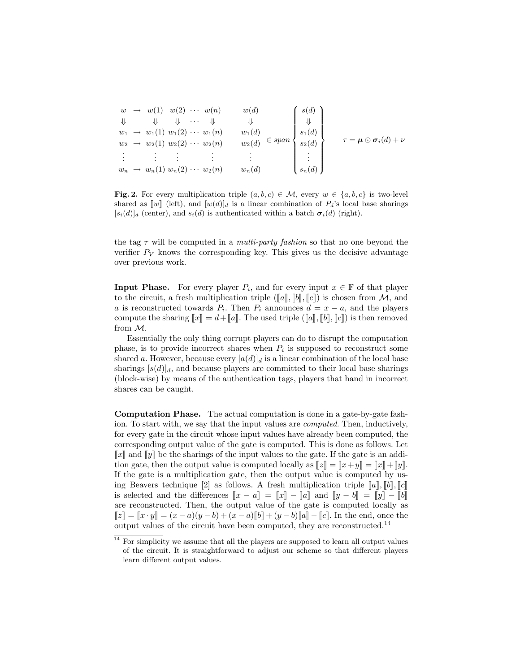w → w(1) w(2) · · · w(n) ⇓ ⇓ ⇓ · · · ⇓ w<sup>1</sup> → w1(1) w1(2) · · · w1(n) w<sup>2</sup> → w2(1) w2(2) · · · w2(n) . . . . . . . . . . . . w<sup>n</sup> → wn(1) wn(2) · · · w2(n) w(d) ⇓ w1(d) w2(d) . . . wn(d) ∈ span 8 >>>>>>>>>< >>>>>>>>>: s(d) ⇓ s1(d) s2(d) . . . sn(d) 9 >>>>>>>>>= >>>>>>>>>; τ = µ  σi(d) + ν

Fig. 2. For every multiplication triple  $(a, b, c) \in \mathcal{M}$ , every  $w \in \{a, b, c\}$  is two-level shared as  $\llbracket w \rrbracket$  (left), and  $[w(d)]_d$  is a linear combination of  $P_d$ 's local base sharings  $[s_i(d)]_d$  (center), and  $s_i(d)$  is authenticated within a batch  $\sigma_i(d)$  (right).

the tag  $\tau$  will be computed in a *multi-party fashion* so that no one beyond the verifier  $P_V$  knows the corresponding key. This gives us the decisive advantage over previous work.

**Input Phase.** For every player  $P_i$ , and for every input  $x \in \mathbb{F}$  of that player to the circuit, a fresh multiplication triple ( $\llbracket a \rrbracket$ ,  $\llbracket b \rrbracket$ ,  $\llbracket c \rrbracket$ ) is chosen from M, and a is reconstructed towards  $P_i$ . Then  $P_i$  announces  $d = x - a$ , and the players compute the sharing  $\llbracket x \rrbracket = d + \llbracket a \rrbracket$ . The used triple  $(\llbracket a \rrbracket, \llbracket b \rrbracket, \llbracket c \rrbracket)$  is then removed from M.

Essentially the only thing corrupt players can do to disrupt the computation phase, is to provide incorrect shares when  $P_i$  is supposed to reconstruct some shared a. However, because every  $[a(d)]_d$  is a linear combination of the local base sharings  $[s(d)]_d$ , and because players are committed to their local base sharings (block-wise) by means of the authentication tags, players that hand in incorrect shares can be caught.

Computation Phase. The actual computation is done in a gate-by-gate fashion. To start with, we say that the input values are computed. Then, inductively, for every gate in the circuit whose input values have already been computed, the corresponding output value of the gate is computed. This is done as follows. Let  $\llbracket x \rrbracket$  and  $\llbracket y \rrbracket$  be the sharings of the input values to the gate. If the gate is an addition gate, then the output value is computed locally as  $\llbracket z \rrbracket = \llbracket x+y \rrbracket = \llbracket x \rrbracket + \llbracket y \rrbracket$ . If the gate is a multiplication gate, then the output value is computed by using Beavers technique [2] as follows. A fresh multiplication triple  $\llbracket a \rrbracket, \llbracket b \rrbracket, \llbracket c \rrbracket$ is selected and the differences  $\llbracket x - a \rrbracket = \llbracket x \rrbracket - \llbracket a \rrbracket$  and  $\llbracket y - b \rrbracket = \llbracket y \rrbracket - \llbracket b \rrbracket$ are reconstructed. Then, the output value of the gate is computed locally as  $[[z]] = [[x \cdot y]] = (x - a)(y - b) + (x - a)[b]] + (y - b)[a]] - [[c]]$ . In the end, once the output values of the circuit have been computed, they are reconstructed.<sup>14</sup>

 $14$  For simplicity we assume that all the players are supposed to learn all output values of the circuit. It is straightforward to adjust our scheme so that different players learn different output values.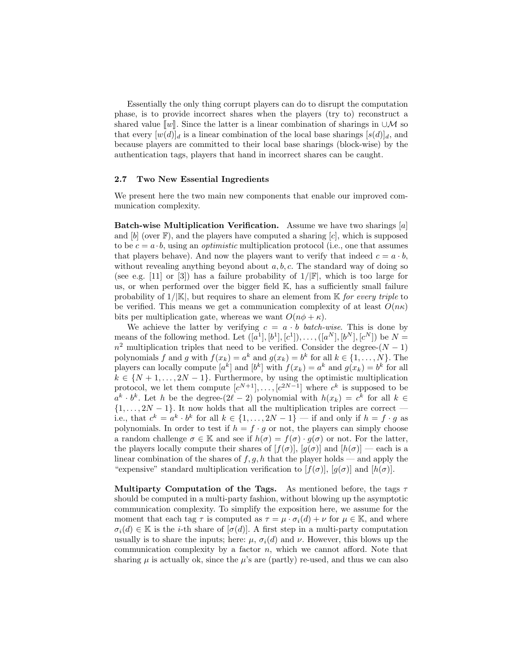Essentially the only thing corrupt players can do to disrupt the computation phase, is to provide incorrect shares when the players (try to) reconstruct a shared value  $\llbracket w \rrbracket$ . Since the latter is a linear combination of sharings in ∪M so that every  $[w(d)]_d$  is a linear combination of the local base sharings  $[s(d)]_d$ , and because players are committed to their local base sharings (block-wise) by the authentication tags, players that hand in incorrect shares can be caught.

#### 2.7 Two New Essential Ingredients

We present here the two main new components that enable our improved communication complexity.

**Batch-wise Multiplication Verification.** Assume we have two sharings  $[a]$ and  $[b]$  (over  $\mathbb{F}$ ), and the players have computed a sharing  $[c]$ , which is supposed to be  $c = a \cdot b$ , using an *optimistic* multiplication protocol (i.e., one that assumes that players behave). And now the players want to verify that indeed  $c = a \cdot b$ , without revealing anything beyond about  $a, b, c$ . The standard way of doing so (see e.g. [11] or [3]) has a failure probability of  $1/|\mathbb{F}|$ , which is too large for us, or when performed over the bigger field K, has a sufficiently small failure probability of  $1/|\mathbb{K}|$ , but requires to share an element from  $\mathbb{K}$  for every triple to be verified. This means we get a communication complexity of at least  $O(n\kappa)$ bits per multiplication gate, whereas we want  $O(n\phi + \kappa)$ .

We achieve the latter by verifying  $c = a \cdot b$  batch-wise. This is done by means of the following method. Let  $([a^1], [b^1], [c^1]), \ldots, ([a^N], [b^N], [c^N])$  be  $N =$  $n^2$  multiplication triples that need to be verified. Consider the degree- $(N-1)$ polynomials f and g with  $f(x_k) = a^k$  and  $g(x_k) = b^k$  for all  $k \in \{1, ..., N\}$ . The players can locally compute  $[a^k]$  and  $[b^k]$  with  $f(x_k) = a^k$  and  $g(x_k) = b^k$  for all  $k \in \{N+1,\ldots,2N-1\}$ . Furthermore, by using the optimistic multiplication protocol, we let them compute  $[c^{N+1}], \ldots, [c^{2N-1}]$  where  $c^k$  is supposed to be  $a^k \cdot b^k$ . Let h be the degree- $(2\ell - 2)$  polynomial with  $h(x_k) = c^k$  for all  $k \in$  $\{1, \ldots, 2N-1\}$ . It now holds that all the multiplication triples are correct i.e., that  $c^k = a^k \cdot b^k$  for all  $k \in \{1, ..., 2N-1\}$  — if and only if  $h = f \cdot g$  as polynomials. In order to test if  $h = f \cdot g$  or not, the players can simply choose a random challenge  $\sigma \in \mathbb{K}$  and see if  $h(\sigma) = f(\sigma) \cdot g(\sigma)$  or not. For the latter, the players locally compute their shares of  $[f(\sigma)], [g(\sigma)]$  and  $[h(\sigma)]$  — each is a linear combination of the shares of  $f, g, h$  that the player holds — and apply the "expensive" standard multiplication verification to  $[f(\sigma)]$ ,  $[g(\sigma)]$  and  $[h(\sigma)]$ .

Multiparty Computation of the Tags. As mentioned before, the tags  $\tau$ should be computed in a multi-party fashion, without blowing up the asymptotic communication complexity. To simplify the exposition here, we assume for the moment that each tag  $\tau$  is computed as  $\tau = \mu \cdot \sigma_i(d) + \nu$  for  $\mu \in \mathbb{K}$ , and where  $\sigma_i(d) \in \mathbb{K}$  is the *i*-th share of  $[\sigma(d)]$ . A first step in a multi-party computation usually is to share the inputs; here:  $\mu$ ,  $\sigma_i(d)$  and  $\nu$ . However, this blows up the communication complexity by a factor  $n$ , which we cannot afford. Note that sharing  $\mu$  is actually ok, since the  $\mu$ 's are (partly) re-used, and thus we can also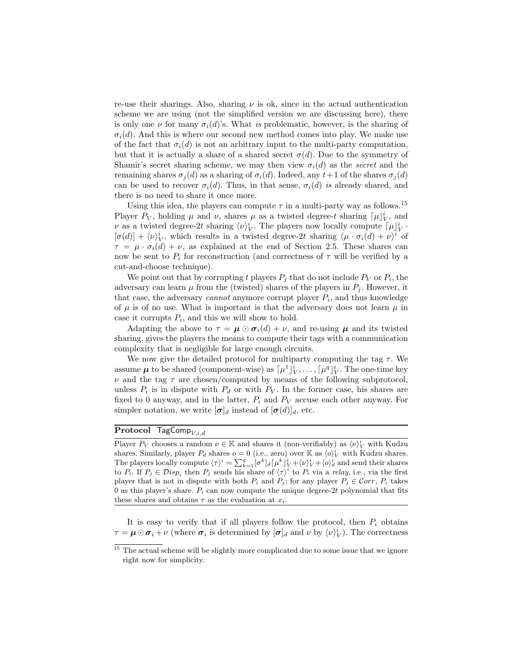re-use their sharings. Also, sharing  $\nu$  is ok, since in the actual authentication scheme we are using (not the simplified version we are discussing here), there is only one  $\nu$  for many  $\sigma_i(d)$ 's. What is problematic, however, is the sharing of  $\sigma_i(d)$ . And this is where our second new method comes into play. We make use of the fact that  $\sigma_i(d)$  is not an arbitrary input to the multi-party computation, but that it is actually a share of a shared secret  $\sigma(d)$ . Due to the symmetry of Shamir's secret sharing scheme, we may then view  $\sigma_i(d)$  as the *secret* and the remaining shares  $\sigma_i(d)$  as a sharing of  $\sigma_i(d)$ . Indeed, any  $t+1$  of the shares  $\sigma_i(d)$ can be used to recover  $\sigma_i(d)$ . Thus, in that sense,  $\sigma_i(d)$  is already shared, and there is no need to share it once more.

Using this idea, the players can compute  $\tau$  in a multi-party way as follows.<sup>15</sup> Player  $P_V$ , holding  $\mu$  and  $\nu$ , shares  $\mu$  as a twisted degree-t sharing  $\lceil \mu \rceil_V^i$ , and  $\nu$  as a twisted degree-2t sharing  $\langle \nu \rangle_V^i$ . The players now locally compute  $\lceil \mu \rceil_V^i$ .  $[\sigma(d)] + \langle \nu \rangle_V^i$ , which results in a twisted degree-2t sharing  $\langle \mu \cdot \sigma_i(d) + \nu \rangle^i$  of  $\tau = \mu \cdot \sigma_i(d) + \nu$ , as explained at the end of Section 2.5. These shares can now be sent to  $P_i$  for reconstruction (and correctness of  $\tau$  will be verified by a cut-and-choose technique).

We point out that by corrupting t players  $P_j$  that do not include  $P_V$  or  $P_i$ , the adversary can learn  $\mu$  from the (twisted) shares of the players in  $P_j$ . However, it that case, the adversary *cannot* anymore corrupt player  $P_i$ , and thus knowledge of  $\mu$  is of no use. What is important is that the adversary does not learn  $\mu$  in case it corrupts  $P_i$ , and this we will show to hold.

Adapting the above to  $\tau = \mu \odot \sigma_i(d) + \nu$ , and re-using  $\mu$  and its twisted sharing, gives the players the means to compute their tags with a communication complexity that is negligible for large enough circuits.

We now give the detailed protocol for multiparty computing the tag  $\tau$ . We assume  $\mu$  to be shared (component-wise) as  $\lceil \mu^1 \rceil_V^i, \ldots, \lceil \mu^q \rceil_V^i$ . The one-time key  $\nu$  and the tag  $\tau$  are chosen/computed by means of the following subprotocol, unless  $P_i$  is in dispute with  $P_d$  or with  $P_V$ . In the former case, his shares are fixed to 0 anyway, and in the latter,  $P_i$  and  $P_V$  accuse each other anyway. For simpler notation, we write  $[\sigma]_d$  instead of  $[\sigma(d)]_d$ , etc.

# **Protocol TagComp** $V, i, d$

Player  $P_V$  chooses a random  $\nu \in \mathbb{K}$  and shares it (non-verifiably) as  $\langle \nu \rangle_V^i$  with Kudzu shares. Similarly, player  $P_d$  shares  $o = 0$  (i.e., zero) over K as  $\langle o \rangle_V^i$  with Kudzu shares. The players locally compute  $\langle \tau \rangle^i = \sum_{k=1}^q [\sigma^k]_d [\mu^k]_V^i + \langle \nu \rangle_V^i + \langle \rho \rangle_d^i$  and send their shares to  $P_i$ . If  $P_j \in \mathcal{D}isp_i$  then  $P_j$  sends his share of  $\langle \tau \rangle^i$  to  $P_i$  via a relay, i.e., via the first player that is not in dispute with both  $P_i$  and  $P_j$ ; for any player  $P_j \in \mathcal{C}orr$ ,  $P_i$  takes 0 as this player's share.  $P_i$  can now compute the unique degree-2t polynomial that fits these shares and obtains  $\tau$  as the evaluation at  $x_i$ .

It is easy to verify that if all players follow the protocol, then  $P_i$  obtains  $\tau = \mu \odot \sigma_i + \nu$  (where  $\sigma_i$  is determined by  $[\sigma]_d$  and  $\nu$  by  $\langle \nu \rangle_V^i$ ). The correctness

 $15$  The actual scheme will be slightly more complicated due to some issue that we ignore right now for simplicity.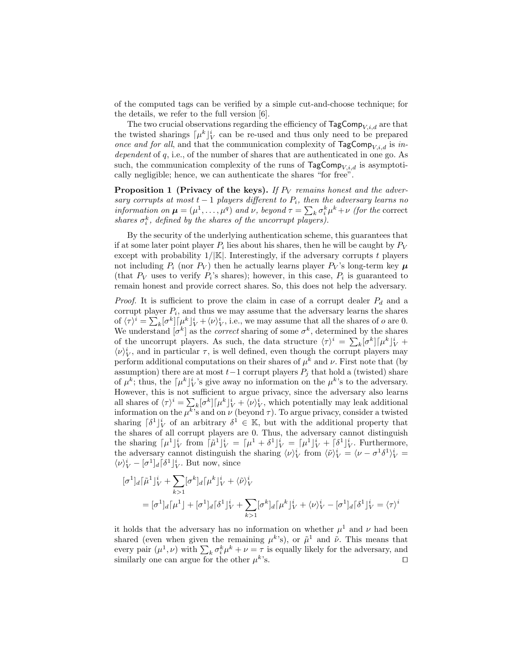of the computed tags can be verified by a simple cut-and-choose technique; for the details, we refer to the full version [6].

The two crucial observations regarding the efficiency of  $\text{TagComp}_{V,i,d}$  are that the twisted sharings  $\lceil \mu^k \rceil_V^i$  can be re-used and thus only need to be prepared once and for all, and that the communication complexity of  $\text{TagComp}_{V,i,d}$  is independent of q, i.e., of the number of shares that are authenticated in one go. As such, the communication complexity of the runs of  $TagComp_{V,i,d}$  is asymptotically negligible; hence, we can authenticate the shares "for free".

**Proposition 1 (Privacy of the keys).** If  $P_V$  remains honest and the adversary corrupts at most  $t - 1$  players different to  $P_i$ , then the adversary learns no information on  $\mu = (\mu^1, \dots, \mu^q)$  and  $\nu$ , beyond  $\tau = \sum_k \sigma_i^k \mu^k + \nu$  (for the correct shares  $\sigma_i^k$ , defined by the shares of the uncorrupt players).

By the security of the underlying authentication scheme, this guarantees that if at some later point player  $P_i$  lies about his shares, then he will be caught by  $P_V$ except with probability  $1/|\mathbb{K}|$ . Interestingly, if the adversary corrupts t players not including  $P_i$  (nor  $P_V$ ) then he actually learns player  $P_V$ 's long-term key  $\mu$ (that  $P_V$  uses to verify  $P_i$ 's shares); however, in this case,  $P_i$  is guaranteed to remain honest and provide correct shares. So, this does not help the adversary.

*Proof.* It is sufficient to prove the claim in case of a corrupt dealer  $P_d$  and a corrupt player  $P_i$ , and thus we may assume that the adversary learns the shares of  $\langle \tau \rangle^i = \sum_k [\sigma^k] [\mu^k]_V^i + \langle \nu \rangle_V^i$ , i.e., we may assume that all the shares of o are 0. We understand  $[\sigma^k]$  as the *correct* sharing of some  $\sigma^k$ , determined by the shares of the uncorrupt players. As such, the data structure  $\langle \tau \rangle^i = \sum_k [\sigma^k] [\mu^k]_V^i +$  $\langle \nu \rangle_V^i$ , and in particular  $\tau$ , is well defined, even though the corrupt players may perform additional computations on their shares of  $\mu^k$  and  $\nu$ . First note that (by assumption) there are at most  $t-1$  corrupt players  $P_j$  that hold a (twisted) share of  $\mu^k$ ; thus, the  $\lceil \mu^k \rceil_V^i$ 's give away no information on the  $\mu^k$ 's to the adversary. However, this is not sufficient to argue privacy, since the adversary also learns all shares of  $\langle \tau \rangle^i = \sum_k [\sigma^k] [\mu^k]_V^i + \langle \nu \rangle_V^i$ , which potentially may leak additional information on the  $\mu^{k}$ 's and on  $\nu$  (beyond  $\tau$ ). To argue privacy, consider a twisted sharing  $\lceil \delta^1 \rfloor_V^i$  of an arbitrary  $\delta^1 \in \mathbb{K}$ , but with the additional property that the shares of all corrupt players are 0. Thus, the adversary cannot distinguish the sharing  $\lceil \mu^1 \rceil_V^i$  from  $\lceil \tilde{\mu}^1 \rceil_V^i = \lceil \mu^1 + \delta^1 \rceil_V^i = \lceil \mu^1 \rceil_V^i + \lceil \delta^1 \rceil_V^i$ . Furthermore, the adversary cannot distinguish the sharing  $\langle \nu \rangle_V^i$  from  $\langle \tilde{\nu} \rangle_V^i = \langle \nu - \sigma^1 \delta^1 \rangle_V^i =$  $\langle \nu \rangle_V^i - [\sigma^1]_d [\delta^1]_V^i$ . But now, since

$$
\begin{aligned} [\sigma^1]_d [\tilde{\mu}^1]_V^i + \sum_{k>1} [\sigma^k]_d [\mu^k]_V^i + \langle \tilde{\nu} \rangle_V^i \\ &= [\sigma^1]_d [\mu^1] + [\sigma^1]_d [\delta^1]_V^i + \sum_{k>1} [\sigma^k]_d [\mu^k]_V^i + \langle \nu \rangle_V^i - [\sigma^1]_d [\delta^1]_V^i = \langle \tau \rangle^i \end{aligned}
$$

it holds that the adversary has no information on whether  $\mu^1$  and  $\nu$  had been shared (even when given the remaining  $\mu^k$ 's), or  $\tilde{\mu}^1$  and  $\tilde{\nu}$ . This means that every pair  $(\mu^1, \nu)$  with  $\sum_k \sigma_i^k \mu^k + \nu = \tau$  is equally likely for the adversary, and similarly one can argue for the other  $\mu^k$  $\mathcal{L}$  s.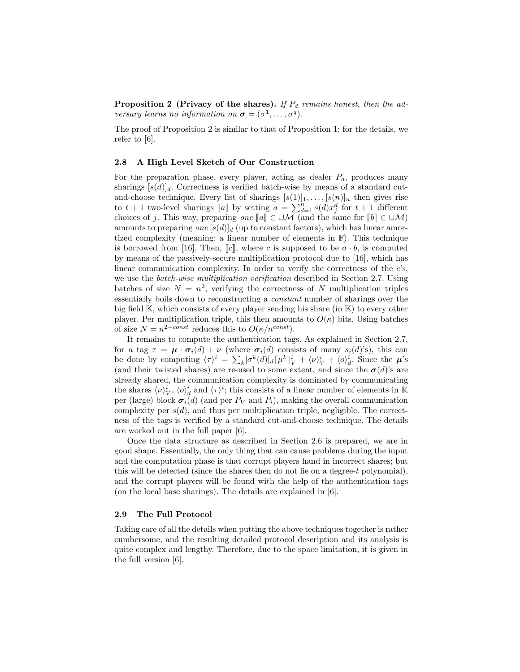Proposition 2 (Privacy of the shares). If  $P_d$  remains honest, then the adversary learns no information on  $\boldsymbol{\sigma} = (\sigma^1, \dots, \sigma^q)$ .

The proof of Proposition 2 is similar to that of Proposition 1; for the details, we refer to [6].

#### 2.8 A High Level Sketch of Our Construction

For the preparation phase, every player, acting as dealer  $P_d$ , produces many sharings  $[s(d)]_d$ . Correctness is verified batch-wise by means of a standard cutand-choose technique. Every list of sharings  $[s(1)]_1, \ldots, [s(n)]_n$  then gives rise to  $t + 1$  two-level sharings  $\llbracket a \rrbracket$  by setting  $a = \sum_{d=1}^{n} s(d)x_d^d$  for  $t + 1$  different<br>choices of a This way propering and  $\llbracket a \rrbracket \in \Box M$  (and the same for  $\llbracket h \rrbracket \in \Box M$ ) choices of j. This way, preparing one  $[\![a]\!] \in \cup \mathcal{M}$  (and the same for  $[\![b]\!] \in \cup \mathcal{M}$ )<br>amounts to proparing one  $[\![s(d)]\!]$ , (up to constant factors), which has linear amor amounts to preparing one  $[s(d)]_d$  (up to constant factors), which has linear amortized complexity (meaning: a linear number of elements in F). This technique is borrowed from [16]. Then,  $\llbracket c \rrbracket$ , where c is supposed to be  $a \cdot b$ , is computed by means of the passively-secure multiplication protocol due to [16], which has linear communication complexity. In order to verify the correctness of the  $c$ 's, we use the *batch-wise multiplication verification* described in Section 2.7. Using batches of size  $N = n^2$ , verifying the correctness of N multiplication triples essentially boils down to reconstructing a constant number of sharings over the big field  $\mathbb{K}$ , which consists of every player sending his share (in  $\mathbb{K}$ ) to every other player. Per multiplication triple, this then amounts to  $O(\kappa)$  bits. Using batches of size  $N = n^{2+const}$  reduces this to  $O(\kappa/n^{const})$ .

It remains to compute the authentication tags. As explained in Section 2.7, for a tag  $\tau = \mu \cdot \sigma_i(d) + \nu$  (where  $\sigma_i(d)$  consists of many  $s_i(d)$ 's), this can be done by computing  $\langle \tau \rangle^i = \sum_k [\sigma^k(d)]_d [\mu^k]_V^i + \langle \nu \rangle_V^i + \langle \rho \rangle_d^i$ . Since the  $\mu$ 's (and their twisted shares) are re-used to some extent, and since the  $\sigma(d)$ 's are already shared, the communication complexity is dominated by communicating the shares  $\langle \nu \rangle_V^i$ ,  $\langle \rho \rangle_d^i$  and  $\langle \tau \rangle^i$ ; this consists of a linear number of elements in K per (large) block  $\sigma_i(d)$  (and per  $P_V$  and  $P_i$ ), making the overall communication complexity per  $s(d)$ , and thus per multiplication triple, negligible. The correctness of the tags is verified by a standard cut-and-choose technique. The details are worked out in the full paper [6].

Once the data structure as described in Section 2.6 is prepared, we are in good shape. Essentially, the only thing that can cause problems during the input and the computation phase is that corrupt players hand in incorrect shares; but this will be detected (since the shares then do not lie on a degree-t polynomial), and the corrupt players will be found with the help of the authentication tags (on the local base sharings). The details are explained in [6].

#### 2.9 The Full Protocol

Taking care of all the details when putting the above techniques together is rather cumbersome, and the resulting detailed protocol description and its analysis is quite complex and lengthy. Therefore, due to the space limitation, it is given in the full version [6].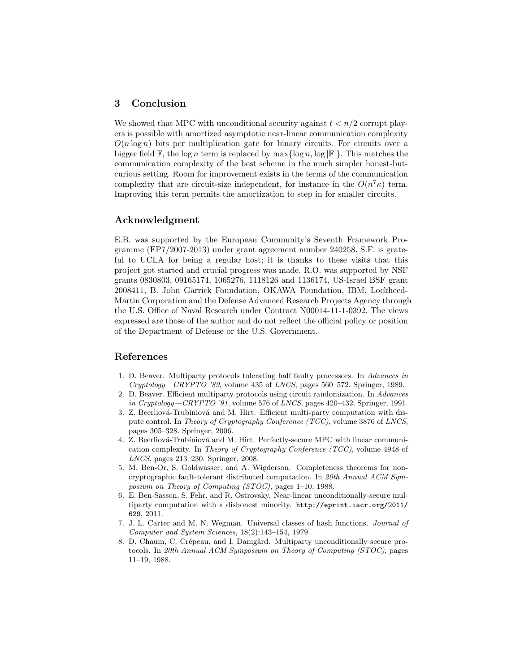# 3 Conclusion

We showed that MPC with unconditional security against  $t < n/2$  corrupt players is possible with amortized asymptotic near-linear communication complexity  $O(n \log n)$  bits per multiplication gate for binary circuits. For circuits over a bigger field  $\mathbb{F}$ , the log n term is replaced by  $\max\{\log n, \log |\mathbb{F}|\}$ . This matches the communication complexity of the best scheme in the much simpler honest-butcurious setting. Room for improvement exists in the terms of the communication complexity that are circuit-size independent, for instance in the  $O(n^7\kappa)$  term. Improving this term permits the amortization to step in for smaller circuits.

## Acknowledgment

E.B. was supported by the European Community's Seventh Framework Programme (FP7/2007-2013) under grant agreement number 240258. S.F. is grateful to UCLA for being a regular host; it is thanks to these visits that this project got started and crucial progress was made. R.O. was supported by NSF grants 0830803, 09165174, 1065276, 1118126 and 1136174, US-Israel BSF grant 2008411, B. John Garrick Foundation, OKAWA Foundation, IBM, Lockheed-Martin Corporation and the Defense Advanced Research Projects Agency through the U.S. Office of Naval Research under Contract N00014-11-1-0392. The views expressed are those of the author and do not reflect the official policy or position of the Department of Defense or the U.S. Government.

# References

- 1. D. Beaver. Multiparty protocols tolerating half faulty processors. In Advances in  $Cryptology—CRYPTO$  '89, volume 435 of LNCS, pages 560–572. Springer, 1989.
- 2. D. Beaver. Efficient multiparty protocols using circuit randomization. In Advances in Cryptology—CRYPTO '91, volume 576 of LNCS, pages  $420-432$ . Springer, 1991.
- 3. Z. Beerliová-Trubíniová and M. Hirt. Efficient multi-party computation with dispute control. In Theory of Cryptography Conference (TCC), volume 3876 of LNCS, pages 305–328. Springer, 2006.
- 4. Z. Beerliová-Trubíniová and M. Hirt. Perfectly-secure MPC with linear communication complexity. In Theory of Cryptography Conference (TCC), volume 4948 of LNCS, pages 213–230. Springer, 2008.
- 5. M. Ben-Or, S. Goldwasser, and A. Wigderson. Completeness theorems for noncryptographic fault-tolerant distributed computation. In 20th Annual ACM Symposium on Theory of Computing (STOC), pages 1–10, 1988.
- 6. E. Ben-Sasson, S. Fehr, and R. Ostrovsky. Near-linear unconditionally-secure multiparty computation with a dishonest minority. http://eprint.iacr.org/2011/ 629, 2011.
- 7. J. L. Carter and M. N. Wegman. Universal classes of hash functions. Journal of Computer and System Sciences, 18(2):143–154, 1979.
- 8. D. Chaum, C. Crépeau, and I. Damgård. Multiparty unconditionally secure protocols. In 20th Annual ACM Symposium on Theory of Computing (STOC), pages 11–19, 1988.